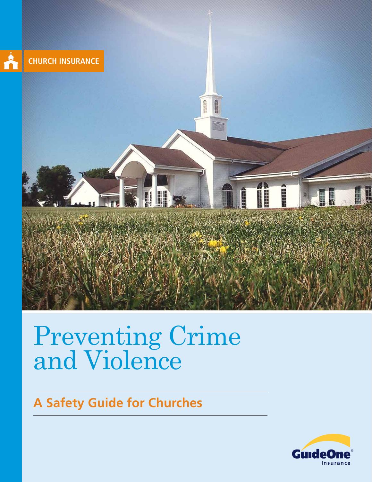

# Preventing Crime and Violence

## **A Safety Guide for Churches**

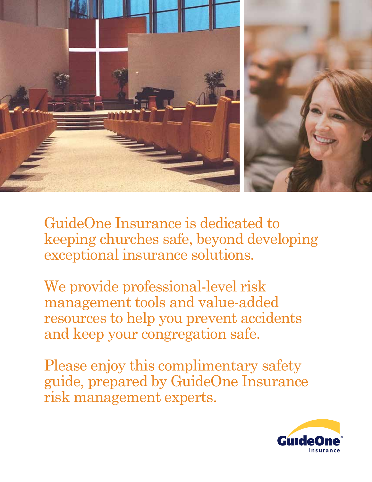

GuideOne Insurance is dedicated to keeping churches safe, beyond developing exceptional insurance solutions.

We provide professional-level risk management tools and value-added resources to help you prevent accidents and keep your congregation safe.

Please enjoy this complimentary safety guide, prepared by GuideOne Insurance risk management experts.

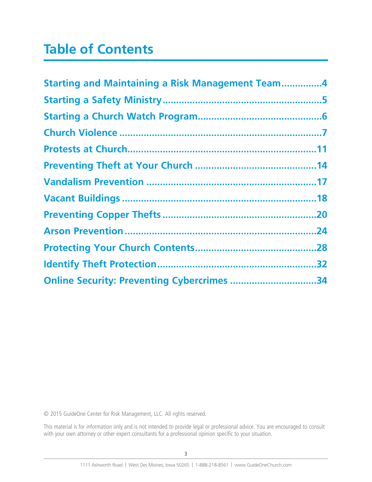## **Table of Contents**

| <b>Starting and Maintaining a Risk Management Team4</b> |  |
|---------------------------------------------------------|--|
|                                                         |  |
|                                                         |  |
|                                                         |  |
|                                                         |  |
|                                                         |  |
|                                                         |  |
|                                                         |  |
|                                                         |  |
|                                                         |  |
|                                                         |  |
|                                                         |  |
| Online Security: Preventing Cybercrimes 34              |  |

© 2015 GuideOne Center for Risk Management, LLC. All rights reserved.

This material is for information only and is not intended to provide legal or professional advice. You are encouraged to consult with your own attorney or other expert consultants for a professional opinion specific to your situation.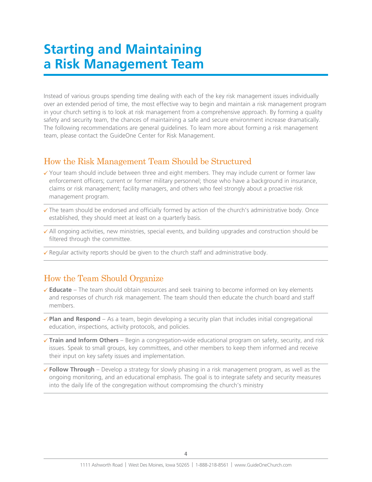## **Starting and Maintaining a Risk Management Team**

Instead of various groups spending time dealing with each of the key risk management issues individually over an extended period of time, the most effective way to begin and maintain a risk management program in your church setting is to look at risk management from a comprehensive approach. By forming a quality safety and security team, the chances of maintaining a safe and secure environment increase dramatically. The following recommendations are general guidelines. To learn more about forming a risk management team, please contact the GuideOne Center for Risk Management.

### How the Risk Management Team Should be Structured

- $\checkmark$  Your team should include between three and eight members. They may include current or former law enforcement officers; current or former military personnel; those who have a background in insurance, claims or risk management; facility managers, and others who feel strongly about a proactive risk management program.
- $\checkmark$  The team should be endorsed and officially formed by action of the church's administrative body. Once established, they should meet at least on a quarterly basis.
- $\checkmark$  All ongoing activities, new ministries, special events, and building upgrades and construction should be filtered through the committee.
- $\checkmark$  Regular activity reports should be given to the church staff and administrative body.

### How the Team Should Organize

- 8 **Educate** The team should obtain resources and seek training to become informed on key elements and responses of church risk management. The team should then educate the church board and staff members.
- $\checkmark$  Plan and Respond As a team, begin developing a security plan that includes initial congregational education, inspections, activity protocols, and policies.
- **√ Train and Inform Others** Begin a congregation-wide educational program on safety, security, and risk issues. Speak to small groups, key committees, and other members to keep them informed and receive their input on key safety issues and implementation.
- $\checkmark$  Follow Through Develop a strategy for slowly phasing in a risk management program, as well as the ongoing monitoring, and an educational emphasis. The goal is to integrate safety and security measures into the daily life of the congregation without compromising the church's ministry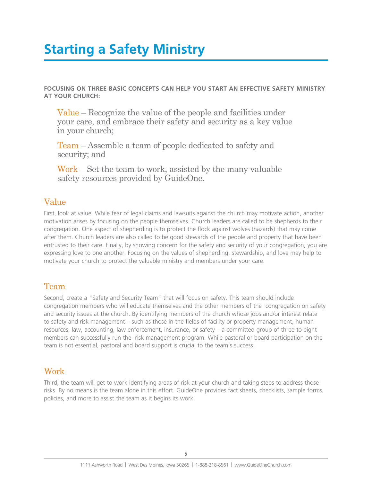## **Starting a Safety Ministry**

**FOCUSING ON THREE BASIC CONCEPTS CAN HELP YOU START AN EFFECTIVE SAFETY MINISTRY AT YOUR CHURCH:**

Value – Recognize the value of the people and facilities under your care, and embrace their safety and security as a key value in your church;

Team – Assemble a team of people dedicated to safety and security; and

Work – Set the team to work, assisted by the many valuable safety resources provided by GuideOne.

### Value

First, look at value. While fear of legal claims and lawsuits against the church may motivate action, another motivation arises by focusing on the people themselves. Church leaders are called to be shepherds to their congregation. One aspect of shepherding is to protect the flock against wolves (hazards) that may come after them. Church leaders are also called to be good stewards of the people and property that have been entrusted to their care. Finally, by showing concern for the safety and security of your congregation, you are expressing love to one another. Focusing on the values of shepherding, stewardship, and love may help to motivate your church to protect the valuable ministry and members under your care.

### Team

Second, create a "Safety and Security Team" that will focus on safety. This team should include congregation members who will educate themselves and the other members of the congregation on safety and security issues at the church. By identifying members of the church whose jobs and/or interest relate to safety and risk management – such as those in the fields of facility or property management, human resources, law, accounting, law enforcement, insurance, or safety – a committed group of three to eight members can successfully run the risk management program. While pastoral or board participation on the team is not essential, pastoral and board support is crucial to the team's success.

## Work

Third, the team will get to work identifying areas of risk at your church and taking steps to address those risks. By no means is the team alone in this effort. GuideOne provides fact sheets, checklists, sample forms, policies, and more to assist the team as it begins its work.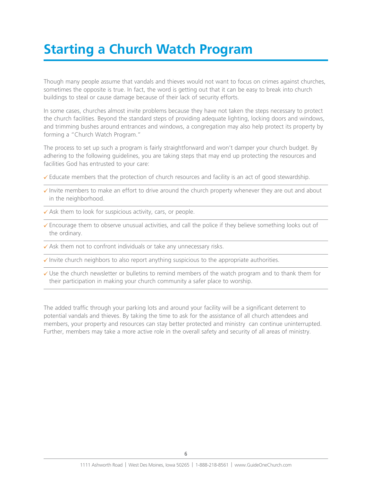## **Starting a Church Watch Program**

Though many people assume that vandals and thieves would not want to focus on crimes against churches, sometimes the opposite is true. In fact, the word is getting out that it can be easy to break into church buildings to steal or cause damage because of their lack of security efforts.

In some cases, churches almost invite problems because they have not taken the steps necessary to protect the church facilities. Beyond the standard steps of providing adequate lighting, locking doors and windows, and trimming bushes around entrances and windows, a congregation may also help protect its property by forming a "Church Watch Program."

The process to set up such a program is fairly straightforward and won't damper your church budget. By adhering to the following guidelines, you are taking steps that may end up protecting the resources and facilities God has entrusted to your care:

- $\checkmark$  Educate members that the protection of church resources and facility is an act of good stewardship.
- $\checkmark$  Invite members to make an effort to drive around the church property whenever they are out and about in the neighborhood.
- $\checkmark$  Ask them to look for suspicious activity, cars, or people.
- $\checkmark$  Encourage them to observe unusual activities, and call the police if they believe something looks out of the ordinary.
- $\checkmark$  Ask them not to confront individuals or take any unnecessary risks.
- $\sqrt{\ }$  Invite church neighbors to also report anything suspicious to the appropriate authorities.
- $\checkmark$  Use the church newsletter or bulletins to remind members of the watch program and to thank them for their participation in making your church community a safer place to worship.

The added traffic through your parking lots and around your facility will be a significant deterrent to potential vandals and thieves. By taking the time to ask for the assistance of all church attendees and members, your property and resources can stay better protected and ministry can continue uninterrupted. Further, members may take a more active role in the overall safety and security of all areas of ministry.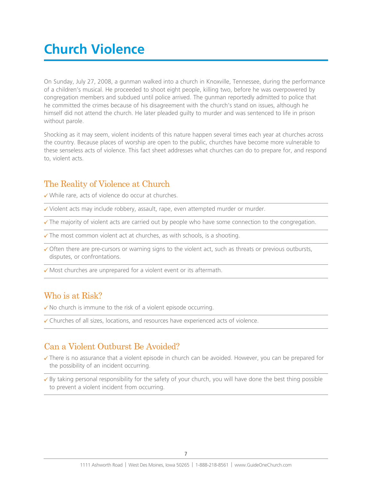## **Church Violence**

On Sunday, July 27, 2008, a gunman walked into a church in Knoxville, Tennessee, during the performance of a children's musical. He proceeded to shoot eight people, killing two, before he was overpowered by congregation members and subdued until police arrived. The gunman reportedly admitted to police that he committed the crimes because of his disagreement with the church's stand on issues, although he himself did not attend the church. He later pleaded guilty to murder and was sentenced to life in prison without parole.

Shocking as it may seem, violent incidents of this nature happen several times each year at churches across the country. Because places of worship are open to the public, churches have become more vulnerable to these senseless acts of violence. This fact sheet addresses what churches can do to prepare for, and respond to, violent acts.

### The Reality of Violence at Church

 $\checkmark$  While rare, acts of violence do occur at churches.

- $\checkmark$  Violent acts may include robbery, assault, rape, even attempted murder or murder.
- $\checkmark$  The majority of violent acts are carried out by people who have some connection to the congregation.
- $\checkmark$  The most common violent act at churches, as with schools, is a shooting.
- $\checkmark$  Often there are pre-cursors or warning signs to the violent act, such as threats or previous outbursts, disputes, or confrontations.
- $\checkmark$  Most churches are unprepared for a violent event or its aftermath.

### Who is at Risk?

- $\checkmark$  No church is immune to the risk of a violent episode occurring.
- $\checkmark$  Churches of all sizes, locations, and resources have experienced acts of violence.

### Can a Violent Outburst Be Avoided?

- ◆ There is no assurance that a violent episode in church can be avoided. However, you can be prepared for the possibility of an incident occurring.
- $\overline{\smash{6}}$  By taking personal responsibility for the safety of your church, you will have done the best thing possible to prevent a violent incident from occurring.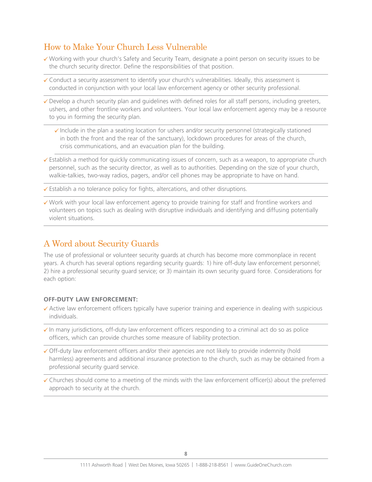## How to Make Your Church Less Vulnerable

- 8 Working with your church's Safety and Security Team, designate a point person on security issues to be the church security director. Define the responsibilities of that position.
- $\checkmark$  Conduct a security assessment to identify your church's vulnerabilities. Ideally, this assessment is conducted in conjunction with your local law enforcement agency or other security professional.
- $\checkmark$  Develop a church security plan and guidelines with defined roles for all staff persons, including greeters, ushers, and other frontline workers and volunteers. Your local law enforcement agency may be a resource to you in forming the security plan.
	- $\checkmark$  Include in the plan a seating location for ushers and/or security personnel (strategically stationed in both the front and the rear of the sanctuary), lockdown procedures for areas of the church, crisis communications, and an evacuation plan for the building.
- $\checkmark$  Establish a method for quickly communicating issues of concern, such as a weapon, to appropriate church personnel, such as the security director, as well as to authorities. Depending on the size of your church, walkie-talkies, two-way radios, pagers, and/or cell phones may be appropriate to have on hand.
- $\checkmark$  Establish a no tolerance policy for fights, altercations, and other disruptions.
- $\checkmark$  Work with your local law enforcement agency to provide training for staff and frontline workers and volunteers on topics such as dealing with disruptive individuals and identifying and diffusing potentially violent situations.

## A Word about Security Guards

The use of professional or volunteer security guards at church has become more commonplace in recent years. A church has several options regarding security guards: 1) hire off-duty law enforcement personnel; 2) hire a professional security guard service; or 3) maintain its own security guard force. Considerations for each option:

### **OFF-DUTY LAW ENFORCEMENT:**

- $\checkmark$  Active law enforcement officers typically have superior training and experience in dealing with suspicious individuals.
- $\checkmark$  In many jurisdictions, off-duty law enforcement officers responding to a criminal act do so as police officers, which can provide churches some measure of liability protection.
- $\checkmark$  Off-duty law enforcement officers and/or their agencies are not likely to provide indemnity (hold harmless) agreements and additional insurance protection to the church, such as may be obtained from a professional security guard service.
- $\checkmark$  Churches should come to a meeting of the minds with the law enforcement officer(s) about the preferred approach to security at the church.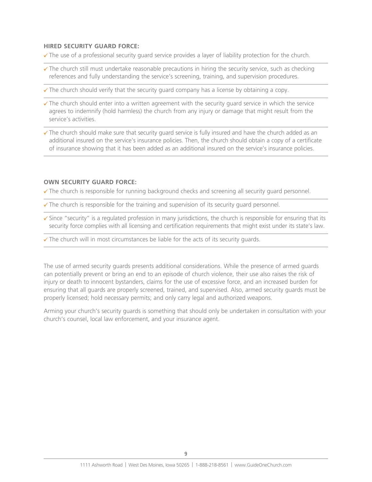#### **HIRED SECURITY GUARD FORCE:**

- $\checkmark$  The use of a professional security guard service provides a layer of liability protection for the church.
- $\checkmark$  The church still must undertake reasonable precautions in hiring the security service, such as checking references and fully understanding the service's screening, training, and supervision procedures.
- $\checkmark$  The church should verify that the security guard company has a license by obtaining a copy.
- $\checkmark$  The church should enter into a written agreement with the security guard service in which the service agrees to indemnify (hold harmless) the church from any injury or damage that might result from the service's activities.
- $\checkmark$  The church should make sure that security guard service is fully insured and have the church added as an additional insured on the service's insurance policies. Then, the church should obtain a copy of a certificate of insurance showing that it has been added as an additional insured on the service's insurance policies.

#### **OWN SECURITY GUARD FORCE:**

- $\checkmark$  The church is responsible for running background checks and screening all security guard personnel.
- $\checkmark$  The church is responsible for the training and supervision of its security guard personnel.
- $\checkmark$  Since "security" is a regulated profession in many jurisdictions, the church is responsible for ensuring that its security force complies with all licensing and certification requirements that might exist under its state's law.
- $\checkmark$  The church will in most circumstances be liable for the acts of its security guards.

The use of armed security guards presents additional considerations. While the presence of armed guards can potentially prevent or bring an end to an episode of church violence, their use also raises the risk of injury or death to innocent bystanders, claims for the use of excessive force, and an increased burden for ensuring that all guards are properly screened, trained, and supervised. Also, armed security guards must be properly licensed; hold necessary permits; and only carry legal and authorized weapons.

Arming your church's security guards is something that should only be undertaken in consultation with your church's counsel, local law enforcement, and your insurance agent.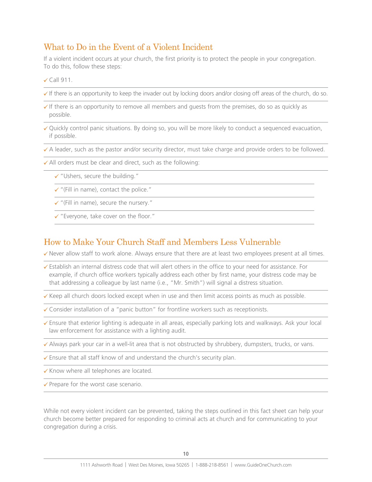### What to Do in the Event of a Violent Incident

If a violent incident occurs at your church, the first priority is to protect the people in your congregation. To do this, follow these steps:

 $\checkmark$  Call 911.

- $\checkmark$  If there is an opportunity to keep the invader out by locking doors and/or closing off areas of the church, do so.
- $\checkmark$  If there is an opportunity to remove all members and quests from the premises, do so as quickly as possible.
- $\checkmark$  Quickly control panic situations. By doing so, you will be more likely to conduct a sequenced evacuation, if possible.
- $\checkmark$  A leader, such as the pastor and/or security director, must take charge and provide orders to be followed.
- $\checkmark$  All orders must be clear and direct, such as the following:
	- $\checkmark$  "Ushers, secure the building."
	- $\checkmark$  "(Fill in name), contact the police."
	- $\checkmark$  "(Fill in name), secure the nursery."
	- $\checkmark$  "Everyone, take cover on the floor."

### How to Make Your Church Staff and Members Less Vulnerable

 $\checkmark$  Never allow staff to work alone. Always ensure that there are at least two employees present at all times.

- $\checkmark$  Establish an internal distress code that will alert others in the office to your need for assistance. For example, if church office workers typically address each other by first name, your distress code may be that addressing a colleague by last name (i.e., "Mr. Smith") will signal a distress situation.
- $\checkmark$  Keep all church doors locked except when in use and then limit access points as much as possible.
- $\checkmark$  Consider installation of a "panic button" for frontline workers such as receptionists.
- $\checkmark$  Ensure that exterior lighting is adequate in all areas, especially parking lots and walkways. Ask your local law enforcement for assistance with a lighting audit.
- $\checkmark$  Always park your car in a well-lit area that is not obstructed by shrubbery, dumpsters, trucks, or vans.
- ✔ Ensure that all staff know of and understand the church's security plan.
- $\checkmark$  Know where all telephones are located.
- $\checkmark$  Prepare for the worst case scenario.

While not every violent incident can be prevented, taking the steps outlined in this fact sheet can help your church become better prepared for responding to criminal acts at church and for communicating to your congregation during a crisis.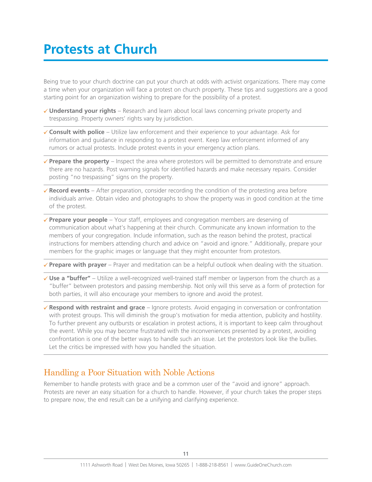## **Protests at Church**

Being true to your church doctrine can put your church at odds with activist organizations. There may come a time when your organization will face a protest on church property. These tips and suggestions are a good starting point for an organization wishing to prepare for the possibility of a protest.

- 8 **Understand your rights** Research and learn about local laws concerning private property and trespassing. Property owners' rights vary by jurisdiction.
- 8 **Consult with police** Utilize law enforcement and their experience to your advantage. Ask for information and guidance in responding to a protest event. Keep law enforcement informed of any rumors or actual protests. Include protest events in your emergency action plans.
- $\checkmark$  Prepare the property Inspect the area where protestors will be permitted to demonstrate and ensure there are no hazards. Post warning signals for identified hazards and make necessary repairs. Consider posting "no trespassing" signs on the property.
- 8 **Record events**  After preparation, consider recording the condition of the protesting area before individuals arrive. Obtain video and photographs to show the property was in good condition at the time of the protest.
- **√ Prepare your people** Your staff, employees and congregation members are deserving of communication about what's happening at their church. Communicate any known information to the members of your congregation. Include information, such as the reason behind the protest, practical instructions for members attending church and advice on "avoid and ignore." Additionally, prepare your members for the graphic images or language that they might encounter from protestors.

**∕ Prepare with prayer** – Prayer and meditation can be a helpful outlook when dealing with the situation.

- $\checkmark$  Use a "buffer" Utilize a well-recognized well-trained staff member or layperson from the church as a "buffer" between protestors and passing membership. Not only will this serve as a form of protection for both parties, it will also encourage your members to ignore and avoid the protest.
- **√ Respond with restraint and grace** Ignore protests. Avoid engaging in conversation or confrontation with protest groups. This will diminish the group's motivation for media attention, publicity and hostility. To further prevent any outbursts or escalation in protest actions, it is important to keep calm throughout the event. While you may become frustrated with the inconveniences presented by a protest, avoiding confrontation is one of the better ways to handle such an issue. Let the protestors look like the bullies. Let the critics be impressed with how you handled the situation.

## Handling a Poor Situation with Noble Actions

Remember to handle protests with grace and be a common user of the "avoid and ignore" approach. Protests are never an easy situation for a church to handle. However, if your church takes the proper steps to prepare now, the end result can be a unifying and clarifying experience.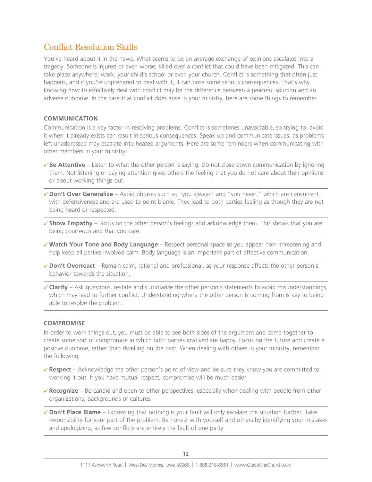### Conflict Resolution Skills

You've heard about it in the news. What seems to be an average exchange of opinions escalates into a tragedy. Someone is injured or even worse, killed over a conflict that could have been mitigated. This can take place anywhere; work, your child's school or even your church. Conflict is something that often just happens, and if you're unprepared to deal with it, it can pose some serious consequences. That's why knowing how to effectively deal with conflict may be the difference between a peaceful solution and an adverse outcome. In the case that conflict does arise in your ministry, here are some things to remember.

#### **COMMUNICATION**

Communication is a key factor in resolving problems. Conflict is sometimes unavoidable, so trying to avoid it when it already exists can result in serious consequences. Speak up and communicate issues, as problems left unaddressed may escalate into heated arguments. Here are some reminders when communicating with other members in your ministry:

- $\checkmark$  **Be Attentive** Listen to what the other person is saying. Do not close down communication by ignoring them. Not listening or paying attention gives others the feeling that you do not care about their opinions or about working things out.
- **√ Don't Over Generalize** Avoid phrases such as "you always" and "you never," which are concurrent with defensiveness and are used to point blame. They lead to both parties feeling as though they are not being heard or respected.
- √ Show Empathy Focus on the other person's feelings and acknowledge them. This shows that you are being courteous and that you care.
- 8 **Watch Your Tone and Body Language** Respect personal space so you appear non- threatening and help keep all parties involved calm. Body language is an important part of effective communication.
- 8 **Don't Overreact** Remain calm, rational and professional, as your response affects the other person's behavior towards the situation.
- $\checkmark$  Clarify Ask questions, restate and summarize the other person's statements to avoid misunderstandings, which may lead to further conflict. Understanding where the other person is coming from is key to being able to resolve the problem.

#### **COMPROMISE**

In order to work things out, you must be able to see both sides of the argument and come together to create some sort of compromise in which both parties involved are happy. Focus on the future and create a positive outcome, rather than dwelling on the past. When dealing with others in your ministry, remember the following:

- $\checkmark$  Respect Acknowledge the other person's point of view and be sure they know you are committed to working it out. If you have mutual respect, compromise will be much easier.
- **√ Recognize** Be candid and open to other perspectives, especially when dealing with people from other organizations, backgrounds or cultures.
- 8 **Don't Place Blame** Expressing that nothing is your fault will only escalate the situation further. Take responsibility for your part of the problem. Be honest with yourself and others by identifying your mistakes and apologizing, as few conflicts are entirely the fault of one party.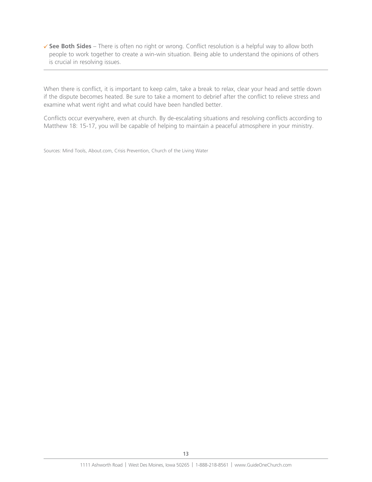8 **See Both Sides** – There is often no right or wrong. Conflict resolution is a helpful way to allow both people to work together to create a win-win situation. Being able to understand the opinions of others is crucial in resolving issues.

When there is conflict, it is important to keep calm, take a break to relax, clear your head and settle down if the dispute becomes heated. Be sure to take a moment to debrief after the conflict to relieve stress and examine what went right and what could have been handled better.

Conflicts occur everywhere, even at church. By de-escalating situations and resolving conflicts according to Matthew 18: 15-17, you will be capable of helping to maintain a peaceful atmosphere in your ministry.

Sources: Mind Tools, About.com, Crisis Prevention, Church of the Living Water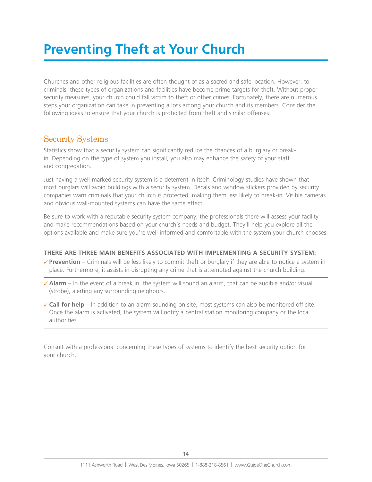## **Preventing Theft at Your Church**

Churches and other religious facilities are often thought of as a sacred and safe location. However, to criminals, these types of organizations and facilities have become prime targets for theft. Without proper security measures, your church could fall victim to theft or other crimes. Fortunately, there are numerous steps your organization can take in preventing a loss among your church and its members. Consider the following ideas to ensure that your church is protected from theft and similar offenses:

### Security Systems

Statistics show that a security system can significantly reduce the chances of a burglary or breakin. Depending on the type of system you install, you also may enhance the safety of your staff and congregation.

Just having a well-marked security system is a deterrent in itself. Criminology studies have shown that most burglars will avoid buildings with a security system. Decals and window stickers provided by security companies warn criminals that your church is protected, making them less likely to break-in. Visible cameras and obvious wall-mounted systems can have the same effect.

Be sure to work with a reputable security system company; the professionals there will assess your facility and make recommendations based on your church's needs and budget. They'll help you explore all the options available and make sure you're well-informed and comfortable with the system your church chooses.

### **THERE ARE THREE MAIN BENEFITS ASSOCIATED WITH IMPLEMENTING A SECURITY SYSTEM:**

- $\checkmark$  Prevention Criminals will be less likely to commit theft or burglary if they are able to notice a system in place. Furthermore, it assists in disrupting any crime that is attempted against the church building.
- $\checkmark$  Alarm In the event of a break in, the system will sound an alarm, that can be audible and/or visual (strobe), alerting any surrounding neighbors.
- $\checkmark$  Call for help In addition to an alarm sounding on site, most systems can also be monitored off site. Once the alarm is activated, the system will notify a central station monitoring company or the local authorities.

Consult with a professional concerning these types of systems to identify the best security option for your church.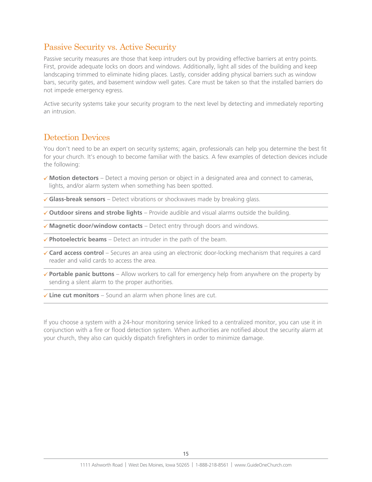### Passive Security vs. Active Security

Passive security measures are those that keep intruders out by providing effective barriers at entry points. First, provide adequate locks on doors and windows. Additionally, light all sides of the building and keep landscaping trimmed to eliminate hiding places. Lastly, consider adding physical barriers such as window bars, security gates, and basement window well gates. Care must be taken so that the installed barriers do not impede emergency egress.

Active security systems take your security program to the next level by detecting and immediately reporting an intrusion.

### Detection Devices

You don't need to be an expert on security systems; again, professionals can help you determine the best fit for your church. It's enough to become familiar with the basics. A few examples of detection devices include the following:

- **★ Motion detectors** Detect a moving person or object in a designated area and connect to cameras, lights, and/or alarm system when something has been spotted.
- **√ Glass-break sensors** Detect vibrations or shockwaves made by breaking glass.

8 **Outdoor sirens and strobe lights** – Provide audible and visual alarms outside the building.

**√ Magnetic door/window contacts** – Detect entry through doors and windows.

 $\checkmark$  Photoelectric beams – Detect an intruder in the path of the beam.

- **√ Card access control** Secures an area using an electronic door-locking mechanism that requires a card reader and valid cards to access the area.
- 8 **Portable panic buttons** Allow workers to call for emergency help from anywhere on the property by sending a silent alarm to the proper authorities.
- **∕ Line cut monitors** Sound an alarm when phone lines are cut.

If you choose a system with a 24-hour monitoring service linked to a centralized monitor, you can use it in conjunction with a fire or flood detection system. When authorities are notified about the security alarm at your church, they also can quickly dispatch firefighters in order to minimize damage.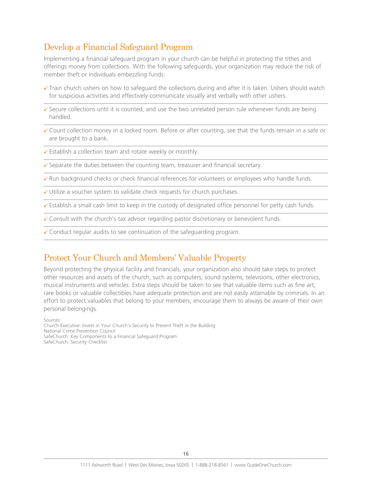### Develop a Financial Safeguard Program

Implementing a financial safeguard program in your church can be helpful in protecting the tithes and offerings money from collections. With the following safeguards, your organization may reduce the risk of member theft or individuals embezzling funds:

- $\checkmark$  Train church ushers on how to safeguard the collections during and after it is taken. Ushers should watch for suspicious activities and effectively communicate visually and verbally with other ushers.
- $\checkmark$  Secure collections until it is counted, and use the two unrelated person rule whenever funds are being handled.
- $\checkmark$  Count collection money in a locked room. Before or after counting, see that the funds remain in a safe or are brought to a bank.
- $\checkmark$  Establish a collection team and rotate weekly or monthly.
- $\checkmark$  Separate the duties between the counting team, treasurer and financial secretary.
- $\checkmark$  Run background checks or check financial references for volunteers or employees who handle funds.
- $\checkmark$  Utilize a voucher system to validate check requests for church purchases.
- $\checkmark$  Establish a small cash limit to keep in the custody of designated office personnel for petty cash funds.
- $\checkmark$  Consult with the church's tax advisor regarding pastor discretionary or benevolent funds.
- $\checkmark$  Conduct regular audits to see continuation of the safeguarding program.

### Protect Your Church and Members' Valuable Property

Beyond protecting the physical facility and financials, your organization also should take steps to protect other resources and assets of the church, such as computers, sound systems, televisions, other electronics, musical instruments and vehicles. Extra steps should be taken to see that valuable items such as fine art, rare books or valuable collectibles have adequate protection and are not easily attainable by criminals. In an effort to protect valuables that belong to your members, encourage them to always be aware of their own personal belongings.

Sources:

Church Executive: Invest in Your Church's Security to Prevent Theft in the Building National Crime Prevention Council SafeChurch: Key Components to a Financial Safeguard Program SafeChurch: Security Checklist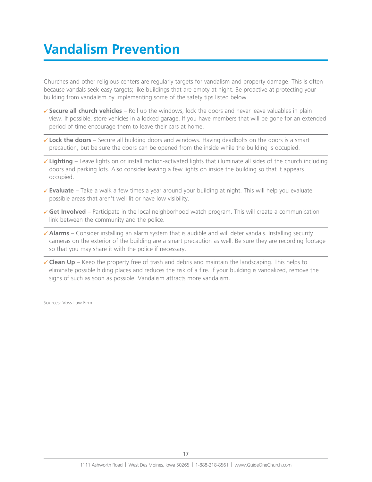## **Vandalism Prevention**

Churches and other religious centers are regularly targets for vandalism and property damage. This is often because vandals seek easy targets; like buildings that are empty at night. Be proactive at protecting your building from vandalism by implementing some of the safety tips listed below.

- **√ Secure all church vehicles** Roll up the windows, lock the doors and never leave valuables in plain view. If possible, store vehicles in a locked garage. If you have members that will be gone for an extended period of time encourage them to leave their cars at home.
- 8 **Lock the doors** Secure all building doors and windows. Having deadbolts on the doors is a smart precaution, but be sure the doors can be opened from the inside while the building is occupied.
- 8 **Lighting** Leave lights on or install motion-activated lights that illuminate all sides of the church including doors and parking lots. Also consider leaving a few lights on inside the building so that it appears occupied.
- **Evaluate** Take a walk a few times a year around your building at night. This will help you evaluate possible areas that aren't well lit or have low visibility.
- **√ Get Involved** Participate in the local neighborhood watch program. This will create a communication link between the community and the police.
- $\checkmark$  Alarms Consider installing an alarm system that is audible and will deter vandals. Installing security cameras on the exterior of the building are a smart precaution as well. Be sure they are recording footage so that you may share it with the police if necessary.
- $\checkmark$  Clean Up Keep the property free of trash and debris and maintain the landscaping. This helps to eliminate possible hiding places and reduces the risk of a fire. If your building is vandalized, remove the signs of such as soon as possible. Vandalism attracts more vandalism.

Sources: Voss Law Firm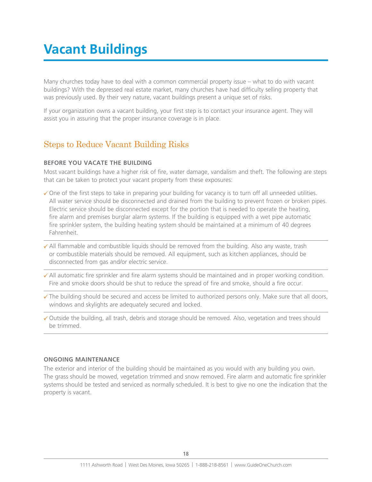## **Vacant Buildings**

Many churches today have to deal with a common commercial property issue – what to do with vacant buildings? With the depressed real estate market, many churches have had difficulty selling property that was previously used. By their very nature, vacant buildings present a unique set of risks.

If your organization owns a vacant building, your first step is to contact your insurance agent. They will assist you in assuring that the proper insurance coverage is in place.

### Steps to Reduce Vacant Building Risks

#### **BEFORE YOU VACATE THE BUILDING**

Most vacant buildings have a higher risk of fire, water damage, vandalism and theft. The following are steps that can be taken to protect your vacant property from these exposures:

- $\checkmark$  One of the first steps to take in preparing your building for vacancy is to turn off all unneeded utilities. All water service should be disconnected and drained from the building to prevent frozen or broken pipes. Electric service should be disconnected except for the portion that is needed to operate the heating, fire alarm and premises burglar alarm systems. If the building is equipped with a wet pipe automatic fire sprinkler system, the building heating system should be maintained at a minimum of 40 degrees Fahrenheit.
- $\checkmark$  All flammable and combustible liquids should be removed from the building. Also any waste, trash or combustible materials should be removed. All equipment, such as kitchen appliances, should be disconnected from gas and/or electric service.
- $\checkmark$  All automatic fire sprinkler and fire alarm systems should be maintained and in proper working condition. Fire and smoke doors should be shut to reduce the spread of fire and smoke, should a fire occur.
- $\checkmark$  The building should be secured and access be limited to authorized persons only. Make sure that all doors, windows and skylights are adequately secured and locked.
- $\checkmark$  Outside the building, all trash, debris and storage should be removed. Also, vegetation and trees should be trimmed.

#### **ONGOING MAINTENANCE**

The exterior and interior of the building should be maintained as you would with any building you own. The grass should be mowed, vegetation trimmed and snow removed. Fire alarm and automatic fire sprinkler systems should be tested and serviced as normally scheduled. It is best to give no one the indication that the property is vacant.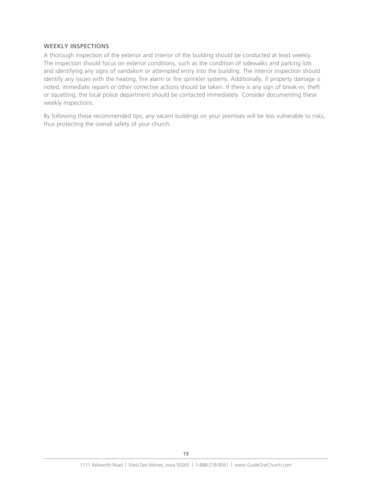#### **WEEKLY INSPECTIONS**

A thorough inspection of the exterior and interior of the building should be conducted at least weekly. The inspection should focus on exterior conditions, such as the condition of sidewalks and parking lots and identifying any signs of vandalism or attempted entry into the building. The interior inspection should identify any issues with the heating, fire alarm or fire sprinkler systems. Additionally, if property damage is noted, immediate repairs or other corrective actions should be taken. If there is any sign of break-in, theft or squatting, the local police department should be contacted immediately. Consider documenting these weekly inspections.

By following these recommended tips, any vacant buildings on your premises will be less vulnerable to risks, thus protecting the overall safety of your church.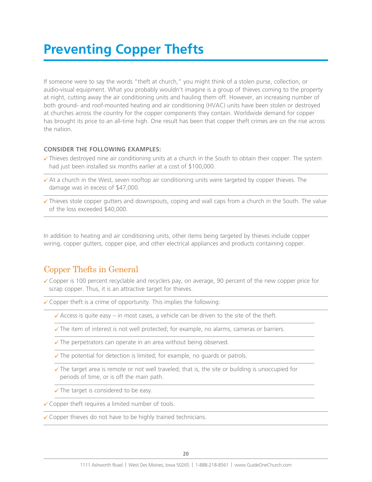## **Preventing Copper Thefts**

If someone were to say the words "theft at church," you might think of a stolen purse, collection, or audio-visual equipment. What you probably wouldn't imagine is a group of thieves coming to the property at night, cutting away the air conditioning units and hauling them off. However, an increasing number of both ground- and roof-mounted heating and air conditioning (HVAC) units have been stolen or destroyed at churches across the country for the copper components they contain. Worldwide demand for copper has brought its price to an all-time high. One result has been that copper theft crimes are on the rise across the nation.

#### **CONSIDER THE FOLLOWING EXAMPLES:**

- $\checkmark$  Thieves destroyed nine air conditioning units at a church in the South to obtain their copper. The system had just been installed six months earlier at a cost of \$100,000.
- $\checkmark$  At a church in the West, seven rooftop air conditioning units were targeted by copper thieves. The damage was in excess of \$47,000.
- $\checkmark$  Thieves stole copper gutters and downspouts, coping and wall caps from a church in the South. The value of the loss exceeded \$40,000.

In addition to heating and air conditioning units, other items being targeted by thieves include copper wiring, copper gutters, copper pipe, and other electrical appliances and products containing copper.

### Copper Thefts in General

 $\checkmark$  Copper is 100 percent recyclable and recyclers pay, on average, 90 percent of the new copper price for scrap copper. Thus, it is an attractive target for thieves.

 $\checkmark$  Copper theft is a crime of opportunity. This implies the following:

- $\checkmark$  Access is quite easy in most cases, a vehicle can be driven to the site of the theft.
- $\checkmark$  The item of interest is not well protected; for example, no alarms, cameras or barriers.
- $\checkmark$  The perpetrators can operate in an area without being observed.
- $\sqrt{\ }$  The potential for detection is limited; for example, no quards or patrols.
- $\checkmark$  The target area is remote or not well traveled; that is, the site or building is unoccupied for periods of time, or is off the main path.
- $\checkmark$  The target is considered to be easy.
- $\checkmark$  Copper theft requires a limited number of tools.

 $\checkmark$  Copper thieves do not have to be highly trained technicians.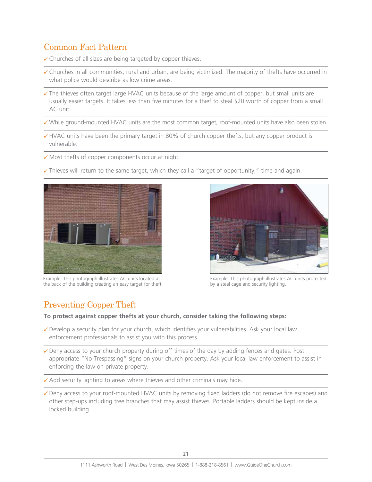## Common Fact Pattern

 $\checkmark$  Churches of all sizes are being targeted by copper thieves.

- $\checkmark$  Churches in all communities, rural and urban, are being victimized. The majority of thefts have occurred in what police would describe as low crime areas.
- $\checkmark$  The thieves often target large HVAC units because of the large amount of copper, but small units are usually easier targets. It takes less than five minutes for a thief to steal \$20 worth of copper from a small AC unit.
- $\checkmark$  While ground-mounted HVAC units are the most common target, roof-mounted units have also been stolen.
- $\checkmark$  HVAC units have been the primary target in 80% of church copper thefts, but any copper product is vulnerable.
- $\checkmark$  Most thefts of copper components occur at night.
- $\checkmark$  Thieves will return to the same target, which they call a "target of opportunity," time and again.



Example: This photograph illustrates AC units located at the back of the building creating an easy target for theft.



Example: This photograph illustrates AC units protected by a steel cage and security lighting.

### Preventing Copper Theft

#### **To protect against copper thefts at your church, consider taking the following steps:**

- $\checkmark$  Develop a security plan for your church, which identifies your vulnerabilities. Ask your local law enforcement professionals to assist you with this process.
- $\checkmark$  Deny access to your church property during off times of the day by adding fences and gates. Post appropriate "No Trespassing" signs on your church property. Ask your local law enforcement to assist in enforcing the law on private property.
- $\checkmark$  Add security lighting to areas where thieves and other criminals may hide.
- $\checkmark$  Deny access to your roof-mounted HVAC units by removing fixed ladders (do not remove fire escapes) and other step-ups including tree branches that may assist thieves. Portable ladders should be kept inside a locked building.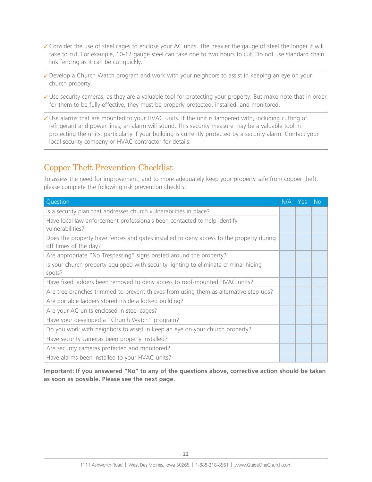- $\checkmark$  Consider the use of steel cages to enclose your AC units. The heavier the gauge of steel the longer it will take to cut. For example, 10-12 gauge steel can take one to two hours to cut. Do not use standard chain link fencing as it can be cut quickly.
- $\checkmark$  Develop a Church Watch program and work with your neighbors to assist in keeping an eye on your church property.
- $\checkmark$  Use security cameras, as they are a valuable tool for protecting your property. But make note that in order for them to be fully effective, they must be properly protected, installed, and monitored.
- $\checkmark$  Use alarms that are mounted to your HVAC units. If the unit is tampered with, including cutting of refrigerant and power lines, an alarm will sound. This security measure may be a valuable tool in protecting the units, particularly if your building is currently protected by a security alarm. Contact your local security company or HVAC contractor for details.

## Copper Theft Prevention Checklist

To assess the need for improvement, and to more adequately keep your property safe from copper theft, please complete the following risk prevention checklist.

| Question                                                                                                         | N/A | <b>Yes</b> | <b>No</b> |
|------------------------------------------------------------------------------------------------------------------|-----|------------|-----------|
| Is a security plan that addresses church vulnerabilities in place?                                               |     |            |           |
| Have local law enforcement professionals been contacted to help identify<br>vulnerabilities?                     |     |            |           |
| Does the property have fences and gates installed to deny access to the property during<br>off times of the day? |     |            |           |
| Are appropriate "No Trespassing" signs posted around the property?                                               |     |            |           |
| Is your church property equipped with security lighting to eliminate criminal hiding<br>spots?                   |     |            |           |
| Have fixed ladders been removed to deny access to roof-mounted HVAC units?                                       |     |            |           |
| Are tree branches trimmed to prevent thieves from using them as alternative step-ups?                            |     |            |           |
| Are portable ladders stored inside a locked building?                                                            |     |            |           |
| Are your AC units enclosed in steel cages?                                                                       |     |            |           |
| Have your developed a "Church Watch" program?                                                                    |     |            |           |
| Do you work with neighbors to assist in keep an eye on your church property?                                     |     |            |           |
| Have security cameras been properly installed?                                                                   |     |            |           |
| Are security cameras protected and monitored?                                                                    |     |            |           |
| Have alarms been installed to your HVAC units?                                                                   |     |            |           |

**Important: If you answered "No" to any of the questions above, corrective action should be taken as soon as possible. Please see the next page.**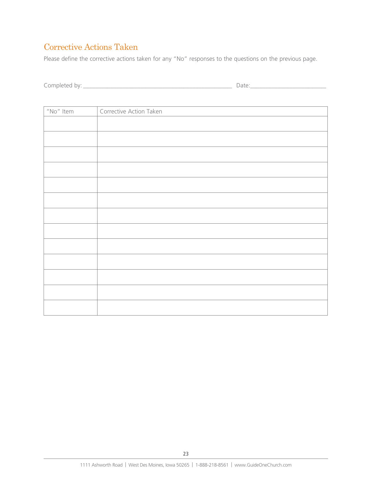## Corrective Actions Taken

Please define the corrective actions taken for any "No" responses to the questions on the previous page.

| $\sim$<br>- - - - -<br><br>. . | $\sim$ |
|--------------------------------|--------|
|--------------------------------|--------|

| $"$ No $"$ Item | Corrective Action Taken |
|-----------------|-------------------------|
|                 |                         |
|                 |                         |
|                 |                         |
|                 |                         |
|                 |                         |
|                 |                         |
|                 |                         |
|                 |                         |
|                 |                         |
|                 |                         |
|                 |                         |
|                 |                         |
|                 |                         |
|                 |                         |
|                 |                         |
|                 |                         |
|                 |                         |
|                 |                         |
|                 |                         |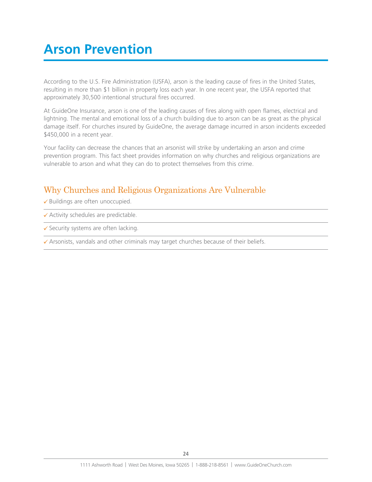## **Arson Prevention**

According to the U.S. Fire Administration (USFA), arson is the leading cause of fires in the United States, resulting in more than \$1 billion in property loss each year. In one recent year, the USFA reported that approximately 30,500 intentional structural fires occurred.

At GuideOne Insurance, arson is one of the leading causes of fires along with open flames, electrical and lightning. The mental and emotional loss of a church building due to arson can be as great as the physical damage itself. For churches insured by GuideOne, the average damage incurred in arson incidents exceeded \$450,000 in a recent year.

Your facility can decrease the chances that an arsonist will strike by undertaking an arson and crime prevention program. This fact sheet provides information on why churches and religious organizations are vulnerable to arson and what they can do to protect themselves from this crime.

## Why Churches and Religious Organizations Are Vulnerable

 $\checkmark$  Buildings are often unoccupied.

- $\checkmark$  Activity schedules are predictable.
- $\checkmark$  Security systems are often lacking.

 $\checkmark$  Arsonists, vandals and other criminals may target churches because of their beliefs.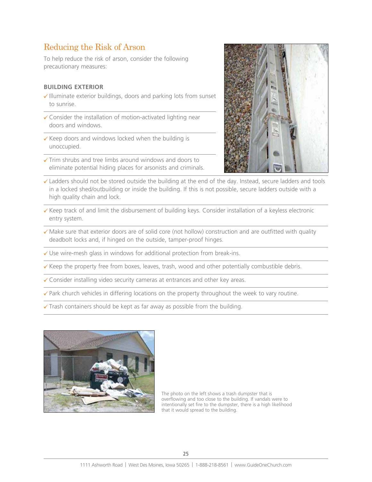### Reducing the Risk of Arson

To help reduce the risk of arson, consider the following precautionary measures:

#### **BUILDING EXTERIOR**

- $\checkmark$  Illuminate exterior buildings, doors and parking lots from sunset to sunrise.
- $\checkmark$  Consider the installation of motion-activated lighting near doors and windows.
- $\checkmark$  Keep doors and windows locked when the building is unoccupied.
- $\checkmark$  Trim shrubs and tree limbs around windows and doors to eliminate potential hiding places for arsonists and criminals.



- $\checkmark$  Ladders should not be stored outside the building at the end of the day. Instead, secure ladders and tools in a locked shed/outbuilding or inside the building. If this is not possible, secure ladders outside with a high quality chain and lock.
- $\checkmark$  Keep track of and limit the disbursement of building keys. Consider installation of a keyless electronic entry system.
- $\checkmark$  Make sure that exterior doors are of solid core (not hollow) construction and are outfitted with quality deadbolt locks and, if hinged on the outside, tamper-proof hinges.
- $\checkmark$  Use wire-mesh glass in windows for additional protection from break-ins.
- $\checkmark$  Keep the property free from boxes, leaves, trash, wood and other potentially combustible debris.
- $\checkmark$  Consider installing video security cameras at entrances and other key areas.

 $\checkmark$  Park church vehicles in differing locations on the property throughout the week to vary routine.

 $\checkmark$  Trash containers should be kept as far away as possible from the building.



The photo on the left shows a trash dumpster that is overflowing and too close to the building. If vandals were to intentionally set fire to the dumpster, there is a high likelihood that it would spread to the building.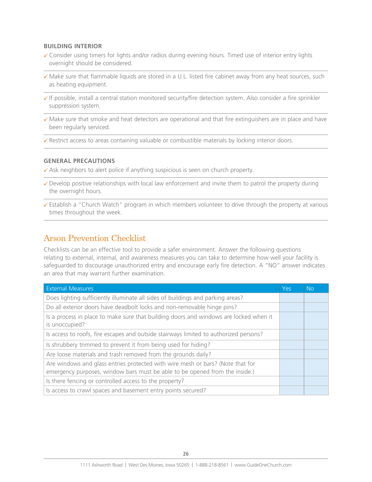#### **BUILDING INTERIOR**

- $\checkmark$  Consider using timers for lights and/or radios during evening hours. Timed use of interior entry lights overnight should be considered.
- $\checkmark$  Make sure that flammable liquids are stored in a U.L. listed fire cabinet away from any heat sources, such as heating equipment.
- 8 If possible, install a central station monitored security/fire detection system. Also consider a fire sprinkler suppression system.
- $\checkmark$  Make sure that smoke and heat detectors are operational and that fire extinguishers are in place and have been regularly serviced.
- $\checkmark$  Restrict access to areas containing valuable or combustible materials by locking interior doors.

#### **GENERAL PRECAUTIONS**

- $\checkmark$  Ask neighbors to alert police if anything suspicious is seen on church property.
- $\checkmark$  Develop positive relationships with local law enforcement and invite them to patrol the property during the overnight hours.
- $\checkmark$  Establish a "Church Watch" program in which members volunteer to drive through the property at various times throughout the week.

### Arson Prevention Checklist

Checklists can be an effective tool to provide a safer environment. Answer the following questions relating to external, internal, and awareness measures you can take to determine how well your facility is safeguarded to discourage unauthorized entry and encourage early fire detection. A "NO" answer indicates an area that may warrant further examination.

| <b>External Measures</b>                                                                                                                                      | Yes | <b>No</b> |
|---------------------------------------------------------------------------------------------------------------------------------------------------------------|-----|-----------|
| Does lighting sufficiently illuminate all sides of buildings and parking areas?                                                                               |     |           |
| Do all exterior doors have deadbolt locks and non-removable hinge pins?                                                                                       |     |           |
| Is a process in place to make sure that building doors and windows are locked when it<br>is unoccupied?                                                       |     |           |
| Is access to roofs, fire escapes and outside stairways limited to authorized persons?                                                                         |     |           |
| Is shrubbery trimmed to prevent it from being used for hiding?                                                                                                |     |           |
| Are loose materials and trash removed from the grounds daily?                                                                                                 |     |           |
| Are windows and glass entries protected with wire mesh or bars? (Note that for<br>emergency purposes, window bars must be able to be opened from the inside.) |     |           |
| Is there fencing or controlled access to the property?                                                                                                        |     |           |
| Is access to crawl spaces and basement entry points secured?                                                                                                  |     |           |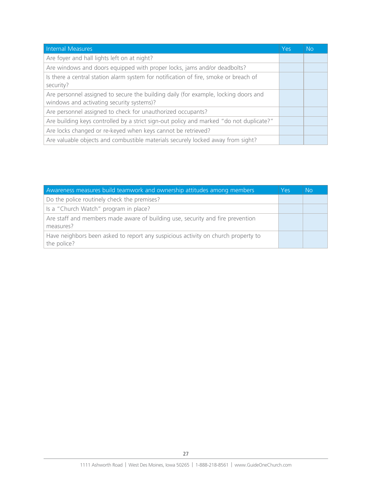| Internal Measures                                                                                                                | Yes | <b>No</b> |
|----------------------------------------------------------------------------------------------------------------------------------|-----|-----------|
| Are foyer and hall lights left on at night?                                                                                      |     |           |
| Are windows and doors equipped with proper locks, jams and/or deadbolts?                                                         |     |           |
| Is there a central station alarm system for notification of fire, smoke or breach of<br>security?                                |     |           |
| Are personnel assigned to secure the building daily (for example, locking doors and<br>windows and activating security systems)? |     |           |
| Are personnel assigned to check for unauthorized occupants?                                                                      |     |           |
| Are building keys controlled by a strict sign-out policy and marked "do not duplicate?"                                          |     |           |
| Are locks changed or re-keyed when keys cannot be retrieved?                                                                     |     |           |
| Are valuable objects and combustible materials securely locked away from sight?                                                  |     |           |

| Awareness measures build teamwork and ownership attitudes among members                          | Yes | <b>No</b> |
|--------------------------------------------------------------------------------------------------|-----|-----------|
| Do the police routinely check the premises?                                                      |     |           |
| Is a "Church Watch" program in place?                                                            |     |           |
| Are staff and members made aware of building use, security and fire prevention<br>measures?      |     |           |
| Have neighbors been asked to report any suspicious activity on church property to<br>the police? |     |           |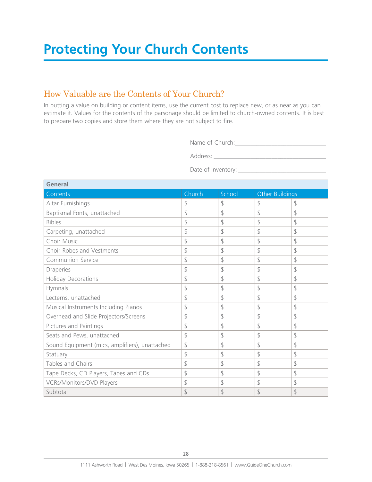### How Valuable are the Contents of Your Church?

In putting a value on building or content items, use the current cost to replace new, or as near as you can estimate it. Values for the contents of the parsonage should be limited to church-owned contents. It is best to prepare two copies and store them where they are not subject to fire.

Name of Church:\_\_\_\_\_\_\_\_\_\_\_\_\_\_\_\_\_\_\_\_\_\_\_\_\_\_\_\_\_\_

Address: \_\_\_\_\_\_\_\_\_\_\_\_\_\_\_\_\_\_\_\_\_\_\_\_\_\_\_\_\_\_\_\_\_\_\_\_\_

Date of Inventory: \_\_\_\_\_\_\_\_\_\_\_\_\_\_\_\_\_\_\_\_\_\_\_\_\_\_\_\_\_

| General                                        |        |        |                             |    |
|------------------------------------------------|--------|--------|-----------------------------|----|
| Contents                                       | Church | School | Other Buildings             |    |
| Altar Furnishings                              | \$     | \$     | \$                          | \$ |
| Baptismal Fonts, unattached                    | \$     | \$     | \$                          | \$ |
| <b>Bibles</b>                                  | \$     | \$     | \$                          | \$ |
| Carpeting, unattached                          | \$     | \$     | \$                          | \$ |
| Choir Music                                    | \$     | \$     | $\mathcal{L}_{\mathcal{A}}$ | \$ |
| Choir Robes and Vestments                      | \$     | \$     | \$                          | \$ |
| Communion Service                              | \$     | \$     | \$                          | \$ |
| Draperies                                      | \$     | \$     | \$                          | \$ |
| <b>Holiday Decorations</b>                     | \$     | \$     | \$                          | \$ |
| Hymnals                                        | \$     | \$     | \$                          | \$ |
| Lecterns, unattached                           | \$     | \$     | \$                          | \$ |
| Musical Instruments Including Pianos           | \$     | \$     | \$                          | \$ |
| Overhead and Slide Projectors/Screens          | \$     | \$     | \$                          | \$ |
| Pictures and Paintings                         | \$     | \$     | \$                          | \$ |
| Seats and Pews, unattached                     | \$     | \$     | \$                          | \$ |
| Sound Equipment (mics, amplifiers), unattached | \$     | \$     | $\mathcal{L}_{\mathcal{A}}$ | \$ |
| Statuary                                       | \$     | \$     | \$                          | \$ |
| Tables and Chairs                              | \$     | \$     | \$                          | \$ |
| Tape Decks, CD Players, Tapes and CDs          | \$     | \$     | \$                          | \$ |
| VCRs/Monitors/DVD Players                      | \$     | \$     | \$                          | \$ |
| Subtotal                                       | \$     | \$     | \$                          | \$ |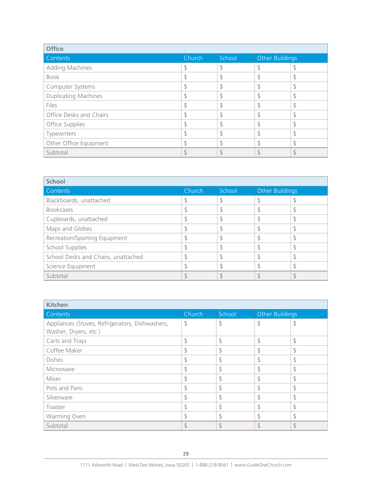| <b>Office</b>               |        |        |                 |   |
|-----------------------------|--------|--------|-----------------|---|
| Contents                    | Church | School | Other Buildings |   |
| Adding Machines             |        | \$     | \$              | P |
| <b>Book</b>                 |        | đ      | đ<br>D          | D |
| Computer Systems            |        |        | S               |   |
| <b>Duplicating Machines</b> |        |        |                 | P |
| Files                       |        |        |                 |   |
| Office Desks and Chairs     |        |        |                 | D |
| Office Supplies             |        |        | đ               |   |
| Typewriters                 |        |        | đ<br>D          |   |
| Other Office Equipment      |        |        | đ<br>. D        |   |
| Subtotal                    |        |        |                 |   |

| <b>School</b>                       |        |        |                 |  |  |
|-------------------------------------|--------|--------|-----------------|--|--|
| Contents                            | Church | School | Other Buildings |  |  |
| Blackboards, unattached             |        |        |                 |  |  |
| <b>Bookcases</b>                    |        |        |                 |  |  |
| Cupboards, unattached               |        |        |                 |  |  |
| Maps and Globes                     |        | J      |                 |  |  |
| Recreation/Sporting Equipment       |        |        |                 |  |  |
| School Supplies                     |        |        |                 |  |  |
| School Desks and Chairs, unattached |        | đ      |                 |  |  |
| Science Equipment                   |        |        |                 |  |  |
| Subtotal                            |        |        |                 |  |  |

| <b>Kitchen</b>                                  |        |               |                             |               |  |
|-------------------------------------------------|--------|---------------|-----------------------------|---------------|--|
| Contents                                        | Church | School        | Other Buildings             |               |  |
| Appliances (Stoves, Refrigerators, Dishwashers, | \$     | \$            | $\mathsf{\$}$               | C             |  |
| Washer, Dryers, etc.)                           |        |               |                             |               |  |
| Carts and Trays                                 | \$     | \$            | \$                          | \$            |  |
| Coffee Maker                                    | \$     | \$            | \$                          | \$            |  |
| <b>Dishes</b>                                   | \$     | \$            | $\mathcal{L}_{\mathcal{L}}$ | \$            |  |
| Microwave                                       | \$     | \$            | \$                          | \$            |  |
| Mixer                                           |        | \$            | \$                          | S             |  |
| Pots and Pans                                   | \$     | \$            | $\mathcal{L}_{\mathcal{L}}$ | \$            |  |
| Silverware                                      | \$     | \$            | \$                          | \$            |  |
| Toaster                                         |        | \$            | \$                          | \$            |  |
| Warming Oven                                    | ₿      | $\mathcal{S}$ | $\mathcal{L}_{\mathcal{A}}$ | đ             |  |
| Subtotal                                        | ९      | $\mathcal{S}$ | $\mathcal{S}$               | $\mathcal{L}$ |  |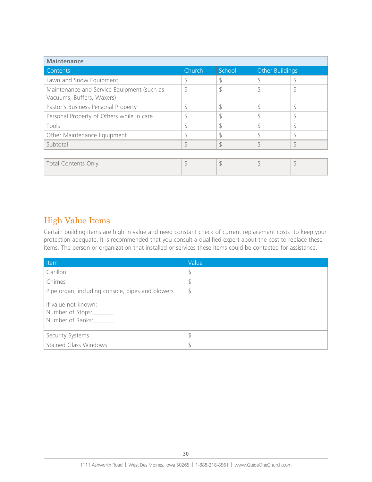| <b>Maintenance</b>                                                      |               |        |                             |               |  |
|-------------------------------------------------------------------------|---------------|--------|-----------------------------|---------------|--|
| Contents                                                                | Church        | School | <b>Other Buildings</b>      |               |  |
| Lawn and Snow Equipment                                                 |               | \$     |                             |               |  |
| Maintenance and Service Equipment (such as<br>Vacuums, Buffers, Waxers) | \$            | \$     | \$                          | P             |  |
| Pastor's Business Personal Property                                     | \$            | \$     | $\mathcal{L}_{\mathcal{L}}$ | \$            |  |
| Personal Property of Others while in care                               | \$            | \$     | đ                           | D             |  |
| Tools                                                                   | \$            | \$     | ¢                           | Ð             |  |
| Other Maintenance Equipment                                             | đ             | ¢      | đ                           |               |  |
| Subtotal                                                                | $\mathcal{S}$ | \$     | \$                          | $\mathcal{L}$ |  |
|                                                                         |               |        |                             |               |  |
| <b>Total Contents Only</b>                                              | \$            | \$     | \$                          | \$            |  |

## High Value Items

Certain building items are high in value and need constant check of current replacement costs to keep your protection adequate. It is recommended that you consult a qualified expert about the cost to replace these items. The person or organization that installed or services these items could be contacted for assistance.

| Item                                                                | Value |
|---------------------------------------------------------------------|-------|
| Carillon                                                            | \$    |
| Chimes                                                              | \$    |
| Pipe organ, including console, pipes and blowers                    | \$    |
| If value not known:<br>Number of Stops:________<br>Number of Ranks: |       |
| Security Systems                                                    | \$    |
| <b>Stained Glass Windows</b>                                        |       |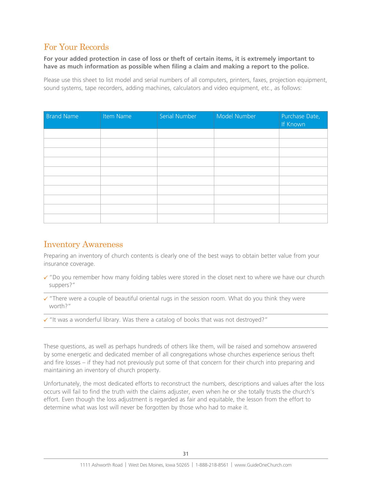### For Your Records

#### **For your added protection in case of loss or theft of certain items, it is extremely important to have as much information as possible when filing a claim and making a report to the police.**

Please use this sheet to list model and serial numbers of all computers, printers, faxes, projection equipment, sound systems, tape recorders, adding machines, calculators and video equipment, etc., as follows:

| <b>Brand Name</b> | Item Name | Serial Number | Model Number | Purchase Date,<br>If Known |
|-------------------|-----------|---------------|--------------|----------------------------|
|                   |           |               |              |                            |
|                   |           |               |              |                            |
|                   |           |               |              |                            |
|                   |           |               |              |                            |
|                   |           |               |              |                            |
|                   |           |               |              |                            |
|                   |           |               |              |                            |
|                   |           |               |              |                            |
|                   |           |               |              |                            |
|                   |           |               |              |                            |

### Inventory Awareness

Preparing an inventory of church contents is clearly one of the best ways to obtain better value from your insurance coverage.

- $\checkmark$  "Do you remember how many folding tables were stored in the closet next to where we have our church suppers?"
- $\checkmark$  "There were a couple of beautiful oriental rugs in the session room. What do you think they were worth?"
- $\checkmark$  "It was a wonderful library. Was there a catalog of books that was not destroyed?"

These questions, as well as perhaps hundreds of others like them, will be raised and somehow answered by some energetic and dedicated member of all congregations whose churches experience serious theft and fire losses – if they had not previously put some of that concern for their church into preparing and maintaining an inventory of church property.

Unfortunately, the most dedicated efforts to reconstruct the numbers, descriptions and values after the loss occurs will fail to find the truth with the claims adjuster, even when he or she totally trusts the church's effort. Even though the loss adjustment is regarded as fair and equitable, the lesson from the effort to determine what was lost will never be forgotten by those who had to make it.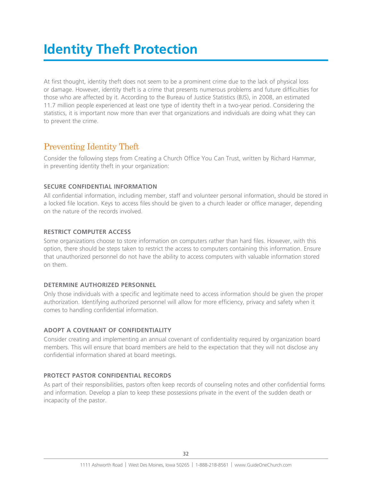## **Identity Theft Protection**

At first thought, identity theft does not seem to be a prominent crime due to the lack of physical loss or damage. However, identity theft is a crime that presents numerous problems and future difficulties for those who are affected by it. According to the Bureau of Justice Statistics (BJS), in 2008, an estimated 11.7 million people experienced at least one type of identity theft in a two-year period. Considering the statistics, it is important now more than ever that organizations and individuals are doing what they can to prevent the crime.

### Preventing Identity Theft

Consider the following steps from Creating a Church Office You Can Trust, written by Richard Hammar, in preventing identity theft in your organization:

### **SECURE CONFIDENTIAL INFORMATION**

All confidential information, including member, staff and volunteer personal information, should be stored in a locked file location. Keys to access files should be given to a church leader or office manager, depending on the nature of the records involved.

### **RESTRICT COMPUTER ACCESS**

Some organizations choose to store information on computers rather than hard files. However, with this option, there should be steps taken to restrict the access to computers containing this information. Ensure that unauthorized personnel do not have the ability to access computers with valuable information stored on them.

### **DETERMINE AUTHORIZED PERSONNEL**

Only those individuals with a specific and legitimate need to access information should be given the proper authorization. Identifying authorized personnel will allow for more efficiency, privacy and safety when it comes to handling confidential information.

### **ADOPT A COVENANT OF CONFIDENTIALITY**

Consider creating and implementing an annual covenant of confidentiality required by organization board members. This will ensure that board members are held to the expectation that they will not disclose any confidential information shared at board meetings.

### **PROTECT PASTOR CONFIDENTIAL RECORDS**

As part of their responsibilities, pastors often keep records of counseling notes and other confidential forms and information. Develop a plan to keep these possessions private in the event of the sudden death or incapacity of the pastor.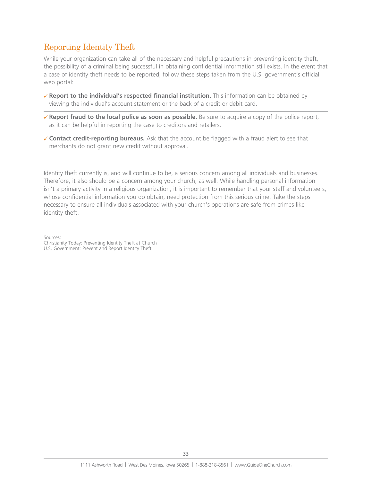## Reporting Identity Theft

While your organization can take all of the necessary and helpful precautions in preventing identity theft, the possibility of a criminal being successful in obtaining confidential information still exists. In the event that a case of identity theft needs to be reported, follow these steps taken from the U.S. government's official web portal:

- 8 **Report to the individual's respected financial institution.** This information can be obtained by viewing the individual's account statement or the back of a credit or debit card.
- ◆ **Report fraud to the local police as soon as possible.** Be sure to acquire a copy of the police report, as it can be helpful in reporting the case to creditors and retailers.
- 8 **Contact credit-reporting bureaus.** Ask that the account be flagged with a fraud alert to see that merchants do not grant new credit without approval.

Identity theft currently is, and will continue to be, a serious concern among all individuals and businesses. Therefore, it also should be a concern among your church, as well. While handling personal information isn't a primary activity in a religious organization, it is important to remember that your staff and volunteers, whose confidential information you do obtain, need protection from this serious crime. Take the steps necessary to ensure all individuals associated with your church's operations are safe from crimes like identity theft.

Sources:

Christianity Today: Preventing Identity Theft at Church U.S. Government: Prevent and Report Identity Theft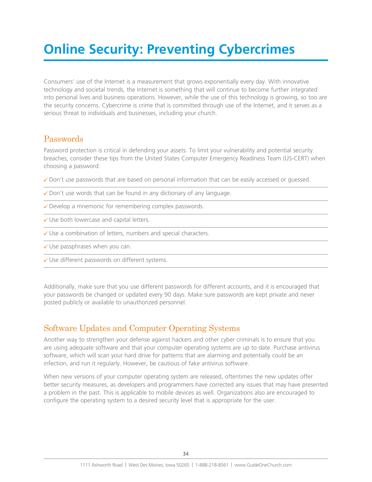## **Online Security: Preventing Cybercrimes**

Consumers' use of the Internet is a measurement that grows exponentially every day. With innovative technology and societal trends, the Internet is something that will continue to become further integrated into personal lives and business operations. However, while the use of this technology is growing, so too are the security concerns. Cybercrime is crime that is committed through use of the Internet, and it serves as a serious threat to individuals and businesses, including your church.

### Passwords

Password protection is critical in defending your assets. To limit your vulnerability and potential security breaches, consider these tips from the United States Computer Emergency Readiness Team (US-CERT) when choosing a password:

- $\checkmark$  Don't use passwords that are based on personal information that can be easily accessed or guessed.
- $\checkmark$  Don't use words that can be found in any dictionary of any language.
- $\checkmark$  Develop a mnemonic for remembering complex passwords.
- $\checkmark$  Use both lowercase and capital letters.
- $\checkmark$  Use a combination of letters, numbers and special characters.
- $\checkmark$  Use passphrases when you can.
- $\checkmark$  Use different passwords on different systems.

Additionally, make sure that you use different passwords for different accounts, and it is encouraged that your passwords be changed or updated every 90 days. Make sure passwords are kept private and never posted publicly or available to unauthorized personnel.

### Software Updates and Computer Operating Systems

Another way to strengthen your defense against hackers and other cyber criminals is to ensure that you are using adequate software and that your computer operating systems are up to date. Purchase antivirus software, which will scan your hard drive for patterns that are alarming and potentially could be an infection, and run it regularly. However, be cautious of fake antivirus software.

When new versions of your computer operating system are released, oftentimes the new updates offer better security measures, as developers and programmers have corrected any issues that may have presented a problem in the past. This is applicable to mobile devices as well. Organizations also are encouraged to configure the operating system to a desired security level that is appropriate for the user.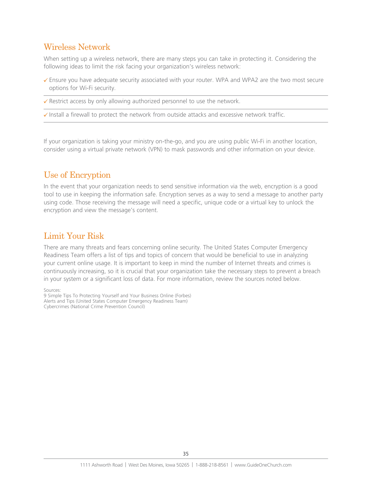### Wireless Network

When setting up a wireless network, there are many steps you can take in protecting it. Considering the following ideas to limit the risk facing your organization's wireless network:

- $\checkmark$  Ensure you have adequate security associated with your router. WPA and WPA2 are the two most secure options for Wi-Fi security.
- $\checkmark$  Restrict access by only allowing authorized personnel to use the network.
- $\checkmark$  Install a firewall to protect the network from outside attacks and excessive network traffic.

If your organization is taking your ministry on-the-go, and you are using public Wi-Fi in another location, consider using a virtual private network (VPN) to mask passwords and other information on your device.

### Use of Encryption

In the event that your organization needs to send sensitive information via the web, encryption is a good tool to use in keeping the information safe. Encryption serves as a way to send a message to another party using code. Those receiving the message will need a specific, unique code or a virtual key to unlock the encryption and view the message's content.

## Limit Your Risk

There are many threats and fears concerning online security. The United States Computer Emergency Readiness Team offers a list of tips and topics of concern that would be beneficial to use in analyzing your current online usage. It is important to keep in mind the number of Internet threats and crimes is continuously increasing, so it is crucial that your organization take the necessary steps to prevent a breach in your system or a significant loss of data. For more information, review the sources noted below.

Sources: 9 Simple Tips To Protecting Yourself and Your Business Online (Forbes) Alerts and Tips (United States Computer Emergency Readiness Team) Cybercrimes (National Crime Prevention Council)